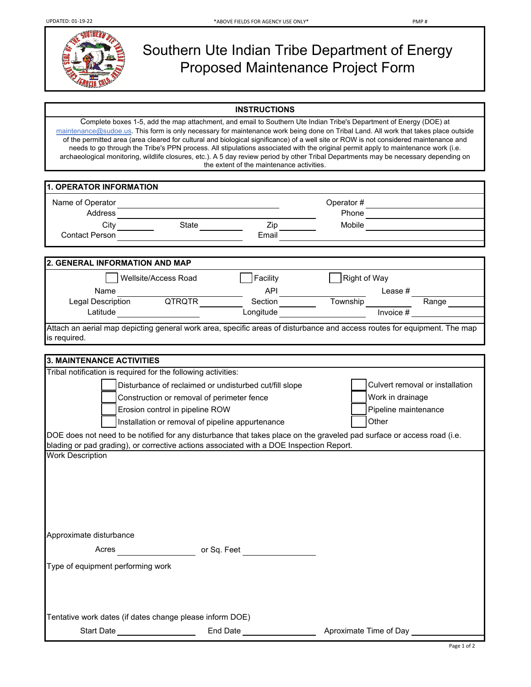

## Southern Ute Indian Tribe Department of Energy Proposed Maintenance Project Form

## **INSTRUCTIONS**

Complete boxes 1-5, add the map attachment, and email to Southern Ute Indian Tribe's Department of Energy (DOE) at maintenance@sudoe.us. This form is only necessary for maintenance work being done on Tribal Land. All work that takes place outside of the permitted area (area cleared for cultural and biological significance) of a well site or ROW is not considered maintenance and needs to go through the Tribe's PPN process. All stipulations associated with the original permit apply to maintenance work (i.e. archaeological monitoring, wildlife closures, etc.). A 5 day review period by other Tribal Departments may be necessary depending on the extent of the maintenance activities.

| <b>1. OPERATOR INFORMATION</b>                                                                                     |                                                                               |                                                                                                            |                                                                                                                                                                                                                |  |
|--------------------------------------------------------------------------------------------------------------------|-------------------------------------------------------------------------------|------------------------------------------------------------------------------------------------------------|----------------------------------------------------------------------------------------------------------------------------------------------------------------------------------------------------------------|--|
|                                                                                                                    |                                                                               |                                                                                                            |                                                                                                                                                                                                                |  |
| Address                                                                                                            |                                                                               |                                                                                                            | Phone                                                                                                                                                                                                          |  |
|                                                                                                                    |                                                                               | Zip                                                                                                        | Mobile                                                                                                                                                                                                         |  |
| <b>Contact Person</b>                                                                                              |                                                                               | Email                                                                                                      |                                                                                                                                                                                                                |  |
|                                                                                                                    |                                                                               |                                                                                                            |                                                                                                                                                                                                                |  |
| 2. GENERAL INFORMATION AND MAP                                                                                     |                                                                               |                                                                                                            |                                                                                                                                                                                                                |  |
| Wellsite/Access Road                                                                                               |                                                                               | Facility                                                                                                   | Right of Way                                                                                                                                                                                                   |  |
|                                                                                                                    |                                                                               |                                                                                                            |                                                                                                                                                                                                                |  |
|                                                                                                                    |                                                                               |                                                                                                            | Name<br>Legal Description QTRQTR<br>Legal Description QTRQTR<br>Longitude Longitude Invoice # Range                                                                                                            |  |
|                                                                                                                    |                                                                               |                                                                                                            |                                                                                                                                                                                                                |  |
| is required.                                                                                                       |                                                                               |                                                                                                            | Attach an aerial map depicting general work area, specific areas of disturbance and access routes for equipment. The map                                                                                       |  |
|                                                                                                                    |                                                                               |                                                                                                            |                                                                                                                                                                                                                |  |
| <b>3. MAINTENANCE ACTIVITIES</b><br>Tribal notification is required for the following activities:                  |                                                                               |                                                                                                            |                                                                                                                                                                                                                |  |
| blading or pad grading), or corrective actions associated with a DOE Inspection Report.<br><b>Work Description</b> | Construction or removal of perimeter fence<br>Erosion control in pipeline ROW | Disturbance of reclaimed or undisturbed cut/fill slope<br>Installation or removal of pipeline appurtenance | Culvert removal or installation<br>Work in drainage<br>Pipeline maintenance<br>Other<br>DOE does not need to be notified for any disturbance that takes place on the graveled pad surface or access road (i.e. |  |
| Approximate disturbance                                                                                            |                                                                               |                                                                                                            |                                                                                                                                                                                                                |  |
| Acres                                                                                                              |                                                                               | or Sq. Feet                                                                                                |                                                                                                                                                                                                                |  |
| Type of equipment performing work                                                                                  |                                                                               |                                                                                                            |                                                                                                                                                                                                                |  |
| Tentative work dates (if dates change please inform DOE)                                                           |                                                                               |                                                                                                            |                                                                                                                                                                                                                |  |
| Start Date ___________________                                                                                     |                                                                               | End Date __________________                                                                                | Aproximate Time of Day ____                                                                                                                                                                                    |  |